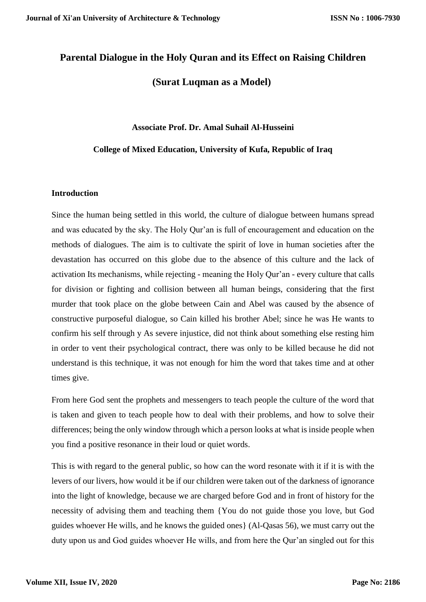# **Parental Dialogue in the Holy Quran and its Effect on Raising Children**

# **(Surat Luqman as a Model)**

#### **Associate Prof. Dr. Amal Suhail Al-Husseini**

## **College of Mixed Education, University of Kufa, Republic of Iraq**

## **Introduction**

Since the human being settled in this world, the culture of dialogue between humans spread and was educated by the sky. The Holy Qur'an is full of encouragement and education on the methods of dialogues. The aim is to cultivate the spirit of love in human societies after the devastation has occurred on this globe due to the absence of this culture and the lack of activation Its mechanisms, while rejecting - meaning the Holy Qur'an - every culture that calls for division or fighting and collision between all human beings, considering that the first murder that took place on the globe between Cain and Abel was caused by the absence of constructive purposeful dialogue, so Cain killed his brother Abel; since he was He wants to confirm his self through y As severe injustice, did not think about something else resting him in order to vent their psychological contract, there was only to be killed because he did not understand is this technique, it was not enough for him the word that takes time and at other times give.

From here God sent the prophets and messengers to teach people the culture of the word that is taken and given to teach people how to deal with their problems, and how to solve their differences; being the only window through which a person looks at what is inside people when you find a positive resonance in their loud or quiet words.

This is with regard to the general public, so how can the word resonate with it if it is with the levers of our livers, how would it be if our children were taken out of the darkness of ignorance into the light of knowledge, because we are charged before God and in front of history for the necessity of advising them and teaching them {You do not guide those you love, but God guides whoever He wills, and he knows the guided ones} (Al-Qasas 56), we must carry out the duty upon us and God guides whoever He wills, and from here the Qur'an singled out for this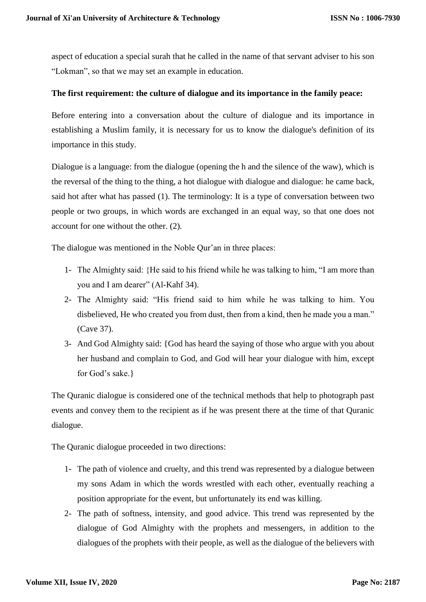aspect of education a special surah that he called in the name of that servant adviser to his son "Lokman", so that we may set an example in education.

## **The first requirement: the culture of dialogue and its importance in the family peace:**

Before entering into a conversation about the culture of dialogue and its importance in establishing a Muslim family, it is necessary for us to know the dialogue's definition of its importance in this study.

Dialogue is a language: from the dialogue (opening the h and the silence of the waw), which is the reversal of the thing to the thing, a hot dialogue with dialogue and dialogue: he came back, said hot after what has passed (1). The terminology: It is a type of conversation between two people or two groups, in which words are exchanged in an equal way, so that one does not account for one without the other. (2).

The dialogue was mentioned in the Noble Qur'an in three places:

- 1- The Almighty said: {He said to his friend while he was talking to him, "I am more than you and I am dearer" (Al-Kahf 34).
- 2- The Almighty said: "His friend said to him while he was talking to him. You disbelieved, He who created you from dust, then from a kind, then he made you a man." (Cave 37).
- 3- And God Almighty said: {God has heard the saying of those who argue with you about her husband and complain to God, and God will hear your dialogue with him, except for God's sake.}

The Quranic dialogue is considered one of the technical methods that help to photograph past events and convey them to the recipient as if he was present there at the time of that Quranic dialogue.

The Quranic dialogue proceeded in two directions:

- 1- The path of violence and cruelty, and this trend was represented by a dialogue between my sons Adam in which the words wrestled with each other, eventually reaching a position appropriate for the event, but unfortunately its end was killing.
- 2- The path of softness, intensity, and good advice. This trend was represented by the dialogue of God Almighty with the prophets and messengers, in addition to the dialogues of the prophets with their people, as well as the dialogue of the believers with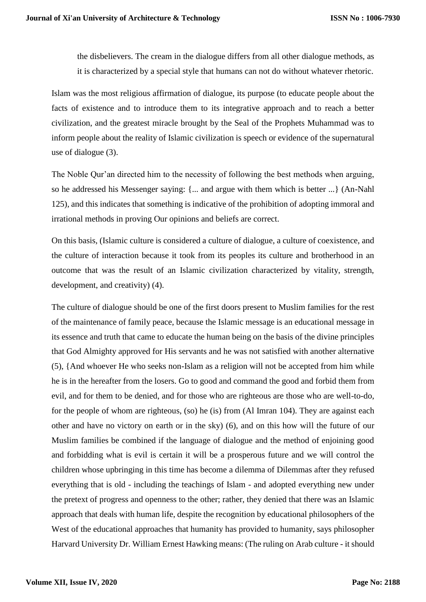the disbelievers. The cream in the dialogue differs from all other dialogue methods, as it is characterized by a special style that humans can not do without whatever rhetoric.

Islam was the most religious affirmation of dialogue, its purpose (to educate people about the facts of existence and to introduce them to its integrative approach and to reach a better civilization, and the greatest miracle brought by the Seal of the Prophets Muhammad was to inform people about the reality of Islamic civilization is speech or evidence of the supernatural use of dialogue (3).

The Noble Qur'an directed him to the necessity of following the best methods when arguing, so he addressed his Messenger saying: {... and argue with them which is better ...} (An-Nahl 125), and this indicates that something is indicative of the prohibition of adopting immoral and irrational methods in proving Our opinions and beliefs are correct.

On this basis, (Islamic culture is considered a culture of dialogue, a culture of coexistence, and the culture of interaction because it took from its peoples its culture and brotherhood in an outcome that was the result of an Islamic civilization characterized by vitality, strength, development, and creativity) (4).

The culture of dialogue should be one of the first doors present to Muslim families for the rest of the maintenance of family peace, because the Islamic message is an educational message in its essence and truth that came to educate the human being on the basis of the divine principles that God Almighty approved for His servants and he was not satisfied with another alternative (5), {And whoever He who seeks non-Islam as a religion will not be accepted from him while he is in the hereafter from the losers. Go to good and command the good and forbid them from evil, and for them to be denied, and for those who are righteous are those who are well-to-do, for the people of whom are righteous, (so) he (is) from (Al Imran 104). They are against each other and have no victory on earth or in the sky) (6), and on this how will the future of our Muslim families be combined if the language of dialogue and the method of enjoining good and forbidding what is evil is certain it will be a prosperous future and we will control the children whose upbringing in this time has become a dilemma of Dilemmas after they refused everything that is old - including the teachings of Islam - and adopted everything new under the pretext of progress and openness to the other; rather, they denied that there was an Islamic approach that deals with human life, despite the recognition by educational philosophers of the West of the educational approaches that humanity has provided to humanity, says philosopher Harvard University Dr. William Ernest Hawking means: (The ruling on Arab culture - it should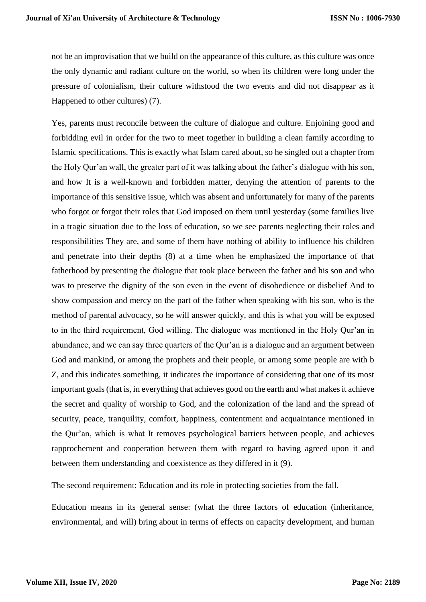not be an improvisation that we build on the appearance of this culture, as this culture was once the only dynamic and radiant culture on the world, so when its children were long under the pressure of colonialism, their culture withstood the two events and did not disappear as it Happened to other cultures) (7).

Yes, parents must reconcile between the culture of dialogue and culture. Enjoining good and forbidding evil in order for the two to meet together in building a clean family according to Islamic specifications. This is exactly what Islam cared about, so he singled out a chapter from the Holy Qur'an wall, the greater part of it was talking about the father's dialogue with his son, and how It is a well-known and forbidden matter, denying the attention of parents to the importance of this sensitive issue, which was absent and unfortunately for many of the parents who forgot or forgot their roles that God imposed on them until yesterday (some families live in a tragic situation due to the loss of education, so we see parents neglecting their roles and responsibilities They are, and some of them have nothing of ability to influence his children and penetrate into their depths (8) at a time when he emphasized the importance of that fatherhood by presenting the dialogue that took place between the father and his son and who was to preserve the dignity of the son even in the event of disobedience or disbelief And to show compassion and mercy on the part of the father when speaking with his son, who is the method of parental advocacy, so he will answer quickly, and this is what you will be exposed to in the third requirement, God willing. The dialogue was mentioned in the Holy Qur'an in abundance, and we can say three quarters of the Qur'an is a dialogue and an argument between God and mankind, or among the prophets and their people, or among some people are with b Z, and this indicates something, it indicates the importance of considering that one of its most important goals (that is, in everything that achieves good on the earth and what makes it achieve the secret and quality of worship to God, and the colonization of the land and the spread of security, peace, tranquility, comfort, happiness, contentment and acquaintance mentioned in the Qur'an, which is what It removes psychological barriers between people, and achieves rapprochement and cooperation between them with regard to having agreed upon it and between them understanding and coexistence as they differed in it (9).

The second requirement: Education and its role in protecting societies from the fall.

Education means in its general sense: (what the three factors of education (inheritance, environmental, and will) bring about in terms of effects on capacity development, and human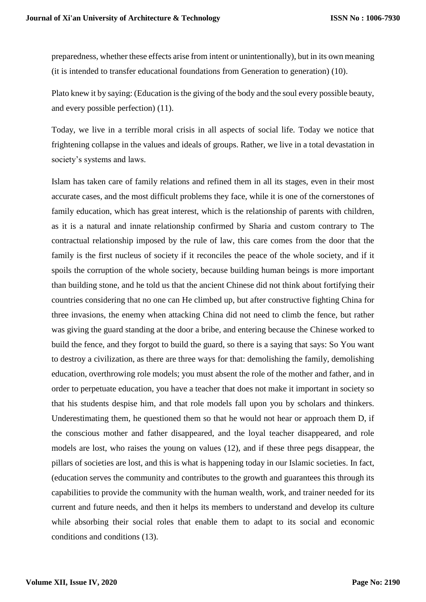preparedness, whether these effects arise from intent or unintentionally), but in its own meaning (it is intended to transfer educational foundations from Generation to generation) (10).

Plato knew it by saying: (Education is the giving of the body and the soul every possible beauty, and every possible perfection) (11).

Today, we live in a terrible moral crisis in all aspects of social life. Today we notice that frightening collapse in the values and ideals of groups. Rather, we live in a total devastation in society's systems and laws.

Islam has taken care of family relations and refined them in all its stages, even in their most accurate cases, and the most difficult problems they face, while it is one of the cornerstones of family education, which has great interest, which is the relationship of parents with children, as it is a natural and innate relationship confirmed by Sharia and custom contrary to The contractual relationship imposed by the rule of law, this care comes from the door that the family is the first nucleus of society if it reconciles the peace of the whole society, and if it spoils the corruption of the whole society, because building human beings is more important than building stone, and he told us that the ancient Chinese did not think about fortifying their countries considering that no one can He climbed up, but after constructive fighting China for three invasions, the enemy when attacking China did not need to climb the fence, but rather was giving the guard standing at the door a bribe, and entering because the Chinese worked to build the fence, and they forgot to build the guard, so there is a saying that says: So You want to destroy a civilization, as there are three ways for that: demolishing the family, demolishing education, overthrowing role models; you must absent the role of the mother and father, and in order to perpetuate education, you have a teacher that does not make it important in society so that his students despise him, and that role models fall upon you by scholars and thinkers. Underestimating them, he questioned them so that he would not hear or approach them D, if the conscious mother and father disappeared, and the loyal teacher disappeared, and role models are lost, who raises the young on values (12), and if these three pegs disappear, the pillars of societies are lost, and this is what is happening today in our Islamic societies. In fact, (education serves the community and contributes to the growth and guarantees this through its capabilities to provide the community with the human wealth, work, and trainer needed for its current and future needs, and then it helps its members to understand and develop its culture while absorbing their social roles that enable them to adapt to its social and economic conditions and conditions (13).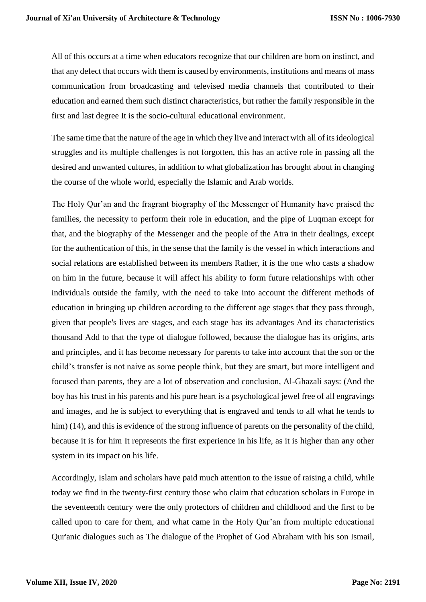All of this occurs at a time when educators recognize that our children are born on instinct, and that any defect that occurs with them is caused by environments, institutions and means of mass communication from broadcasting and televised media channels that contributed to their education and earned them such distinct characteristics, but rather the family responsible in the first and last degree It is the socio-cultural educational environment.

The same time that the nature of the age in which they live and interact with all of its ideological struggles and its multiple challenges is not forgotten, this has an active role in passing all the desired and unwanted cultures, in addition to what globalization has brought about in changing the course of the whole world, especially the Islamic and Arab worlds.

The Holy Qur'an and the fragrant biography of the Messenger of Humanity have praised the families, the necessity to perform their role in education, and the pipe of Luqman except for that, and the biography of the Messenger and the people of the Atra in their dealings, except for the authentication of this, in the sense that the family is the vessel in which interactions and social relations are established between its members Rather, it is the one who casts a shadow on him in the future, because it will affect his ability to form future relationships with other individuals outside the family, with the need to take into account the different methods of education in bringing up children according to the different age stages that they pass through, given that people's lives are stages, and each stage has its advantages And its characteristics thousand Add to that the type of dialogue followed, because the dialogue has its origins, arts and principles, and it has become necessary for parents to take into account that the son or the child's transfer is not naive as some people think, but they are smart, but more intelligent and focused than parents, they are a lot of observation and conclusion, Al-Ghazali says: (And the boy has his trust in his parents and his pure heart is a psychological jewel free of all engravings and images, and he is subject to everything that is engraved and tends to all what he tends to him) (14), and this is evidence of the strong influence of parents on the personality of the child, because it is for him It represents the first experience in his life, as it is higher than any other system in its impact on his life.

Accordingly, Islam and scholars have paid much attention to the issue of raising a child, while today we find in the twenty-first century those who claim that education scholars in Europe in the seventeenth century were the only protectors of children and childhood and the first to be called upon to care for them, and what came in the Holy Qur'an from multiple educational Qur'anic dialogues such as The dialogue of the Prophet of God Abraham with his son Ismail,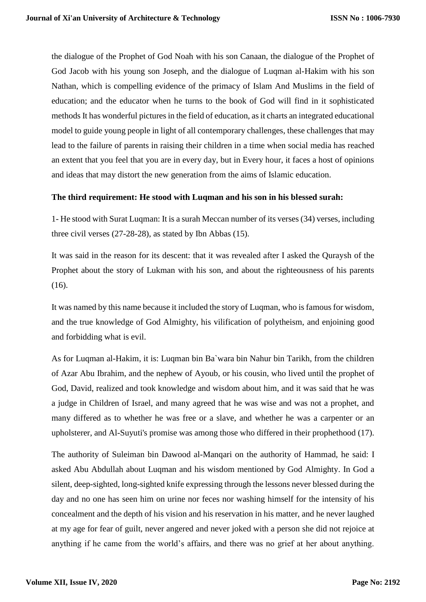the dialogue of the Prophet of God Noah with his son Canaan, the dialogue of the Prophet of God Jacob with his young son Joseph, and the dialogue of Luqman al-Hakim with his son Nathan, which is compelling evidence of the primacy of Islam And Muslims in the field of education; and the educator when he turns to the book of God will find in it sophisticated methods It has wonderful pictures in the field of education, as it charts an integrated educational model to guide young people in light of all contemporary challenges, these challenges that may lead to the failure of parents in raising their children in a time when social media has reached an extent that you feel that you are in every day, but in Every hour, it faces a host of opinions and ideas that may distort the new generation from the aims of Islamic education.

## **The third requirement: He stood with Luqman and his son in his blessed surah:**

1- He stood with Surat Luqman: It is a surah Meccan number of its verses (34) verses, including three civil verses (27-28-28), as stated by Ibn Abbas (15).

It was said in the reason for its descent: that it was revealed after I asked the Quraysh of the Prophet about the story of Lukman with his son, and about the righteousness of his parents (16).

It was named by this name because it included the story of Luqman, who is famous for wisdom, and the true knowledge of God Almighty, his vilification of polytheism, and enjoining good and forbidding what is evil.

As for Luqman al-Hakim, it is: Luqman bin Ba`wara bin Nahur bin Tarikh, from the children of Azar Abu Ibrahim, and the nephew of Ayoub, or his cousin, who lived until the prophet of God, David, realized and took knowledge and wisdom about him, and it was said that he was a judge in Children of Israel, and many agreed that he was wise and was not a prophet, and many differed as to whether he was free or a slave, and whether he was a carpenter or an upholsterer, and Al-Suyuti's promise was among those who differed in their prophethood (17).

The authority of Suleiman bin Dawood al-Manqari on the authority of Hammad, he said: I asked Abu Abdullah about Luqman and his wisdom mentioned by God Almighty. In God a silent, deep-sighted, long-sighted knife expressing through the lessons never blessed during the day and no one has seen him on urine nor feces nor washing himself for the intensity of his concealment and the depth of his vision and his reservation in his matter, and he never laughed at my age for fear of guilt, never angered and never joked with a person she did not rejoice at anything if he came from the world's affairs, and there was no grief at her about anything.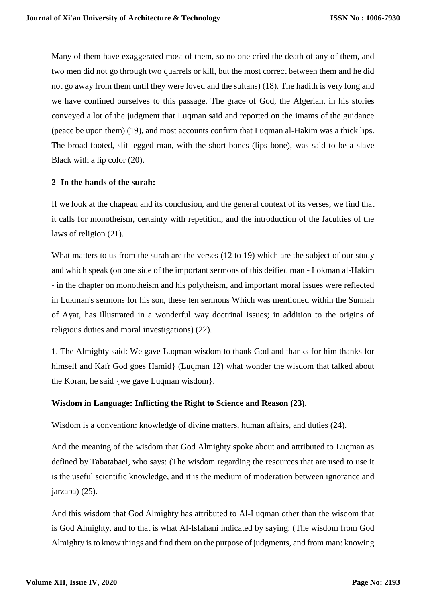Many of them have exaggerated most of them, so no one cried the death of any of them, and two men did not go through two quarrels or kill, but the most correct between them and he did not go away from them until they were loved and the sultans) (18). The hadith is very long and we have confined ourselves to this passage. The grace of God, the Algerian, in his stories conveyed a lot of the judgment that Luqman said and reported on the imams of the guidance (peace be upon them) (19), and most accounts confirm that Luqman al-Hakim was a thick lips. The broad-footed, slit-legged man, with the short-bones (lips bone), was said to be a slave Black with a lip color (20).

## **2- In the hands of the surah:**

If we look at the chapeau and its conclusion, and the general context of its verses, we find that it calls for monotheism, certainty with repetition, and the introduction of the faculties of the laws of religion (21).

What matters to us from the surah are the verses (12 to 19) which are the subject of our study and which speak (on one side of the important sermons of this deified man - Lokman al-Hakim - in the chapter on monotheism and his polytheism, and important moral issues were reflected in Lukman's sermons for his son, these ten sermons Which was mentioned within the Sunnah of Ayat, has illustrated in a wonderful way doctrinal issues; in addition to the origins of religious duties and moral investigations) (22).

1. The Almighty said: We gave Luqman wisdom to thank God and thanks for him thanks for himself and Kafr God goes Hamid} (Luqman 12) what wonder the wisdom that talked about the Koran, he said {we gave Luqman wisdom}.

## **Wisdom in Language: Inflicting the Right to Science and Reason (23).**

Wisdom is a convention: knowledge of divine matters, human affairs, and duties (24).

And the meaning of the wisdom that God Almighty spoke about and attributed to Luqman as defined by Tabatabaei, who says: (The wisdom regarding the resources that are used to use it is the useful scientific knowledge, and it is the medium of moderation between ignorance and jarzaba) (25).

And this wisdom that God Almighty has attributed to Al-Luqman other than the wisdom that is God Almighty, and to that is what Al-Isfahani indicated by saying: (The wisdom from God Almighty is to know things and find them on the purpose of judgments, and from man: knowing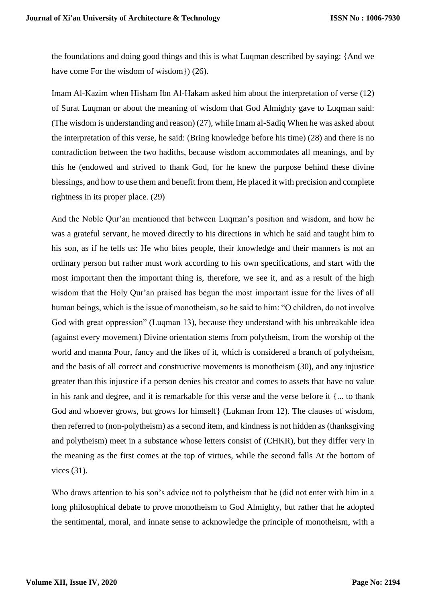the foundations and doing good things and this is what Luqman described by saying: {And we have come For the wisdom of wisdom  $(26)$ .

Imam Al-Kazim when Hisham Ibn Al-Hakam asked him about the interpretation of verse (12) of Surat Luqman or about the meaning of wisdom that God Almighty gave to Luqman said: (The wisdom is understanding and reason) (27), while Imam al-Sadiq When he was asked about the interpretation of this verse, he said: (Bring knowledge before his time) (28) and there is no contradiction between the two hadiths, because wisdom accommodates all meanings, and by this he (endowed and strived to thank God, for he knew the purpose behind these divine blessings, and how to use them and benefit from them, He placed it with precision and complete rightness in its proper place. (29)

And the Noble Qur'an mentioned that between Luqman's position and wisdom, and how he was a grateful servant, he moved directly to his directions in which he said and taught him to his son, as if he tells us: He who bites people, their knowledge and their manners is not an ordinary person but rather must work according to his own specifications, and start with the most important then the important thing is, therefore, we see it, and as a result of the high wisdom that the Holy Qur'an praised has begun the most important issue for the lives of all human beings, which is the issue of monotheism, so he said to him: "O children, do not involve God with great oppression" (Luqman 13), because they understand with his unbreakable idea (against every movement) Divine orientation stems from polytheism, from the worship of the world and manna Pour, fancy and the likes of it, which is considered a branch of polytheism, and the basis of all correct and constructive movements is monotheism (30), and any injustice greater than this injustice if a person denies his creator and comes to assets that have no value in his rank and degree, and it is remarkable for this verse and the verse before it {... to thank God and whoever grows, but grows for himself} (Lukman from 12). The clauses of wisdom, then referred to (non-polytheism) as a second item, and kindness is not hidden as (thanksgiving and polytheism) meet in a substance whose letters consist of (CHKR), but they differ very in the meaning as the first comes at the top of virtues, while the second falls At the bottom of vices (31).

Who draws attention to his son's advice not to polytheism that he (did not enter with him in a long philosophical debate to prove monotheism to God Almighty, but rather that he adopted the sentimental, moral, and innate sense to acknowledge the principle of monotheism, with a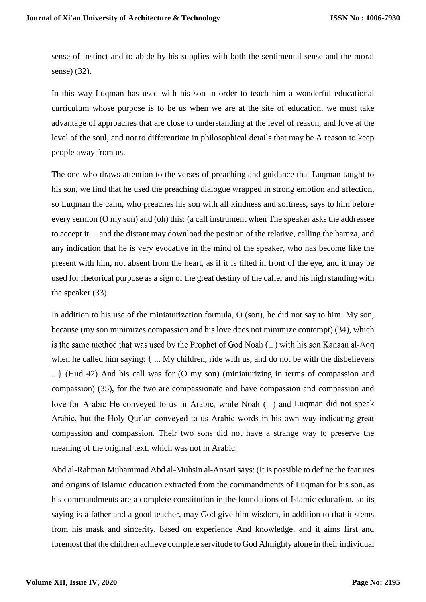sense of instinct and to abide by his supplies with both the sentimental sense and the moral sense) (32).

In this way Luqman has used with his son in order to teach him a wonderful educational curriculum whose purpose is to be us when we are at the site of education, we must take advantage of approaches that are close to understanding at the level of reason, and love at the level of the soul, and not to differentiate in philosophical details that may be A reason to keep people away from us.

The one who draws attention to the verses of preaching and guidance that Luqman taught to his son, we find that he used the preaching dialogue wrapped in strong emotion and affection, so Luqman the calm, who preaches his son with all kindness and softness, says to him before every sermon (O my son) and (oh) this: (a call instrument when The speaker asks the addressee to accept it ... and the distant may download the position of the relative, calling the hamza, and any indication that he is very evocative in the mind of the speaker, who has become like the present with him, not absent from the heart, as if it is tilted in front of the eye, and it may be used for rhetorical purpose as a sign of the great destiny of the caller and his high standing with the speaker (33).

In addition to his use of the miniaturization formula, O (son), he did not say to him: My son, because (my son minimizes compassion and his love does not minimize contempt) (34), which is the same method that was used by the Prophet of God Noah  $(\square)$  with his son Kanaan al-Aqq when he called him saying: { ... My children, ride with us, and do not be with the disbelievers ...} (Hud 42) And his call was for (O my son) (miniaturizing in terms of compassion and compassion) (35), for the two are compassionate and have compassion and compassion and love for Arabic He conveyed to us in Arabic, while Noah  $(\square)$  and Luqman did not speak Arabic, but the Holy Qur'an conveyed to us Arabic words in his own way indicating great compassion and compassion. Their two sons did not have a strange way to preserve the meaning of the original text, which was not in Arabic.

Abd al-Rahman Muhammad Abd al-Muhsin al-Ansari says: (It is possible to define the features and origins of Islamic education extracted from the commandments of Luqman for his son, as his commandments are a complete constitution in the foundations of Islamic education, so its saying is a father and a good teacher, may God give him wisdom, in addition to that it stems from his mask and sincerity, based on experience And knowledge, and it aims first and foremost that the children achieve complete servitude to God Almighty alone in their individual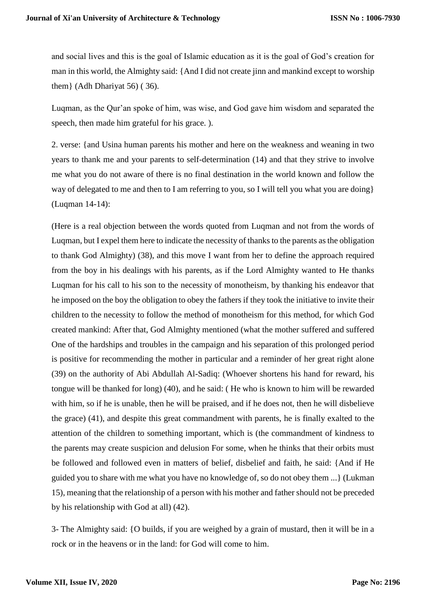and social lives and this is the goal of Islamic education as it is the goal of God's creation for man in this world, the Almighty said: {And I did not create jinn and mankind except to worship them} (Adh Dhariyat 56) ( 36).

Luqman, as the Qur'an spoke of him, was wise, and God gave him wisdom and separated the speech, then made him grateful for his grace. ).

2. verse: {and Usina human parents his mother and here on the weakness and weaning in two years to thank me and your parents to self-determination (14) and that they strive to involve me what you do not aware of there is no final destination in the world known and follow the way of delegated to me and then to I am referring to you, so I will tell you what you are doing} (Luqman 14-14):

(Here is a real objection between the words quoted from Luqman and not from the words of Luqman, but I expel them here to indicate the necessity of thanks to the parents as the obligation to thank God Almighty) (38), and this move I want from her to define the approach required from the boy in his dealings with his parents, as if the Lord Almighty wanted to He thanks Luqman for his call to his son to the necessity of monotheism, by thanking his endeavor that he imposed on the boy the obligation to obey the fathers if they took the initiative to invite their children to the necessity to follow the method of monotheism for this method, for which God created mankind: After that, God Almighty mentioned (what the mother suffered and suffered One of the hardships and troubles in the campaign and his separation of this prolonged period is positive for recommending the mother in particular and a reminder of her great right alone (39) on the authority of Abi Abdullah Al-Sadiq: (Whoever shortens his hand for reward, his tongue will be thanked for long) (40), and he said: ( He who is known to him will be rewarded with him, so if he is unable, then he will be praised, and if he does not, then he will disbelieve the grace) (41), and despite this great commandment with parents, he is finally exalted to the attention of the children to something important, which is (the commandment of kindness to the parents may create suspicion and delusion For some, when he thinks that their orbits must be followed and followed even in matters of belief, disbelief and faith, he said: {And if He guided you to share with me what you have no knowledge of, so do not obey them ...} (Lukman 15), meaning that the relationship of a person with his mother and father should not be preceded by his relationship with God at all) (42).

3- The Almighty said: {O builds, if you are weighed by a grain of mustard, then it will be in a rock or in the heavens or in the land: for God will come to him.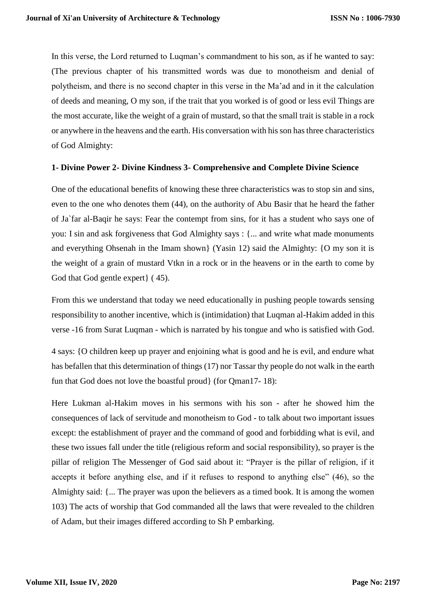In this verse, the Lord returned to Luqman's commandment to his son, as if he wanted to say: (The previous chapter of his transmitted words was due to monotheism and denial of polytheism, and there is no second chapter in this verse in the Ma'ad and in it the calculation of deeds and meaning, O my son, if the trait that you worked is of good or less evil Things are the most accurate, like the weight of a grain of mustard, so that the small trait is stable in a rock or anywhere in the heavens and the earth. His conversation with his son has three characteristics of God Almighty:

## **1- Divine Power 2- Divine Kindness 3- Comprehensive and Complete Divine Science**

One of the educational benefits of knowing these three characteristics was to stop sin and sins, even to the one who denotes them (44), on the authority of Abu Basir that he heard the father of Ja`far al-Baqir he says: Fear the contempt from sins, for it has a student who says one of you: I sin and ask forgiveness that God Almighty says : {... and write what made monuments and everything Ohsenah in the Imam shown} (Yasin 12) said the Almighty: {O my son it is the weight of a grain of mustard Vtkn in a rock or in the heavens or in the earth to come by God that God gentle expert} ( 45).

From this we understand that today we need educationally in pushing people towards sensing responsibility to another incentive, which is (intimidation) that Luqman al-Hakim added in this verse -16 from Surat Luqman - which is narrated by his tongue and who is satisfied with God.

4 says: {O children keep up prayer and enjoining what is good and he is evil, and endure what has befallen that this determination of things (17) nor Tassar thy people do not walk in the earth fun that God does not love the boastful proud} (for Qman17- 18):

Here Lukman al-Hakim moves in his sermons with his son - after he showed him the consequences of lack of servitude and monotheism to God - to talk about two important issues except: the establishment of prayer and the command of good and forbidding what is evil, and these two issues fall under the title (religious reform and social responsibility), so prayer is the pillar of religion The Messenger of God said about it: "Prayer is the pillar of religion, if it accepts it before anything else, and if it refuses to respond to anything else" (46), so the Almighty said: {... The prayer was upon the believers as a timed book. It is among the women 103) The acts of worship that God commanded all the laws that were revealed to the children of Adam, but their images differed according to Sh P embarking.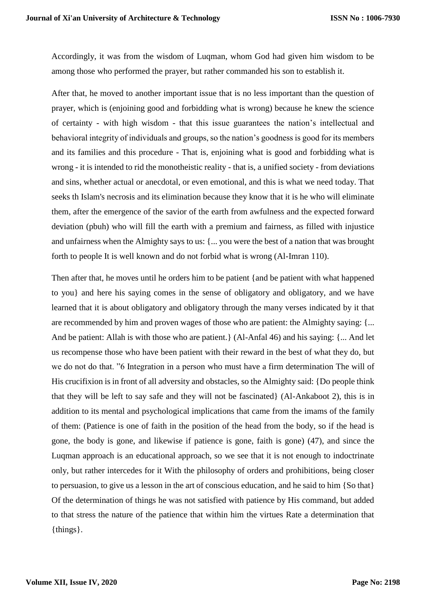Accordingly, it was from the wisdom of Luqman, whom God had given him wisdom to be among those who performed the prayer, but rather commanded his son to establish it.

After that, he moved to another important issue that is no less important than the question of prayer, which is (enjoining good and forbidding what is wrong) because he knew the science of certainty - with high wisdom - that this issue guarantees the nation's intellectual and behavioral integrity of individuals and groups, so the nation's goodness is good for its members and its families and this procedure - That is, enjoining what is good and forbidding what is wrong - it is intended to rid the monotheistic reality - that is, a unified society - from deviations and sins, whether actual or anecdotal, or even emotional, and this is what we need today. That seeks th Islam's necrosis and its elimination because they know that it is he who will eliminate them, after the emergence of the savior of the earth from awfulness and the expected forward deviation (pbuh) who will fill the earth with a premium and fairness, as filled with injustice and unfairness when the Almighty says to us: {... you were the best of a nation that was brought forth to people It is well known and do not forbid what is wrong (Al-Imran 110).

Then after that, he moves until he orders him to be patient {and be patient with what happened to you} and here his saying comes in the sense of obligatory and obligatory, and we have learned that it is about obligatory and obligatory through the many verses indicated by it that are recommended by him and proven wages of those who are patient: the Almighty saying: {... And be patient: Allah is with those who are patient.} (Al-Anfal 46) and his saying: {... And let us recompense those who have been patient with their reward in the best of what they do, but we do not do that. "6 Integration in a person who must have a firm determination The will of His crucifixion is in front of all adversity and obstacles, so the Almighty said: {Do people think that they will be left to say safe and they will not be fascinated} (Al-Ankaboot 2), this is in addition to its mental and psychological implications that came from the imams of the family of them: (Patience is one of faith in the position of the head from the body, so if the head is gone, the body is gone, and likewise if patience is gone, faith is gone) (47), and since the Luqman approach is an educational approach, so we see that it is not enough to indoctrinate only, but rather intercedes for it With the philosophy of orders and prohibitions, being closer to persuasion, to give us a lesson in the art of conscious education, and he said to him {So that} Of the determination of things he was not satisfied with patience by His command, but added to that stress the nature of the patience that within him the virtues Rate a determination that {things}.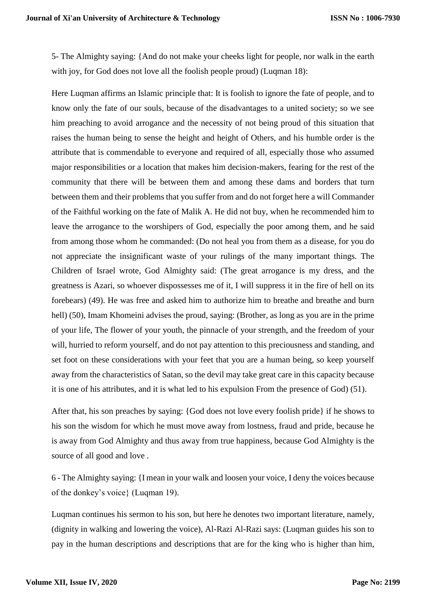5- The Almighty saying: {And do not make your cheeks light for people, nor walk in the earth with joy, for God does not love all the foolish people proud) (Luqman 18):

Here Luqman affirms an Islamic principle that: It is foolish to ignore the fate of people, and to know only the fate of our souls, because of the disadvantages to a united society; so we see him preaching to avoid arrogance and the necessity of not being proud of this situation that raises the human being to sense the height and height of Others, and his humble order is the attribute that is commendable to everyone and required of all, especially those who assumed major responsibilities or a location that makes him decision-makers, fearing for the rest of the community that there will be between them and among these dams and borders that turn between them and their problems that you suffer from and do not forget here a will Commander of the Faithful working on the fate of Malik A. He did not buy, when he recommended him to leave the arrogance to the worshipers of God, especially the poor among them, and he said from among those whom he commanded: (Do not heal you from them as a disease, for you do not appreciate the insignificant waste of your rulings of the many important things. The Children of Israel wrote, God Almighty said: (The great arrogance is my dress, and the greatness is Azari, so whoever dispossesses me of it, I will suppress it in the fire of hell on its forebears) (49). He was free and asked him to authorize him to breathe and breathe and burn hell) (50), Imam Khomeini advises the proud, saying: (Brother, as long as you are in the prime of your life, The flower of your youth, the pinnacle of your strength, and the freedom of your will, hurried to reform yourself, and do not pay attention to this preciousness and standing, and set foot on these considerations with your feet that you are a human being, so keep yourself away from the characteristics of Satan, so the devil may take great care in this capacity because it is one of his attributes, and it is what led to his expulsion From the presence of God) (51).

After that, his son preaches by saying: {God does not love every foolish pride} if he shows to his son the wisdom for which he must move away from lostness, fraud and pride, because he is away from God Almighty and thus away from true happiness, because God Almighty is the source of all good and love .

6 - The Almighty saying: {I mean in your walk and loosen your voice, I deny the voices because of the donkey's voice} (Luqman 19).

Luqman continues his sermon to his son, but here he denotes two important literature, namely, (dignity in walking and lowering the voice), Al-Razi Al-Razi says: (Luqman guides his son to pay in the human descriptions and descriptions that are for the king who is higher than him,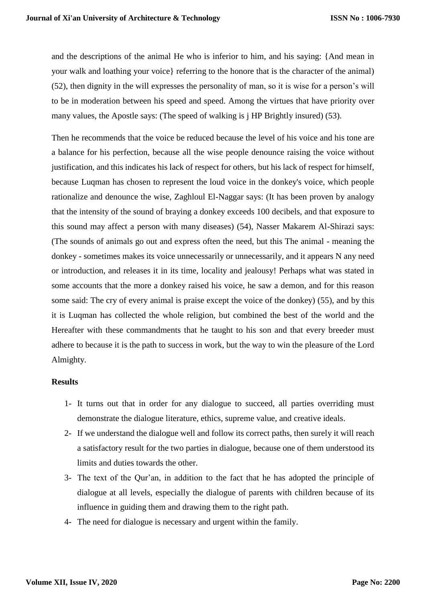and the descriptions of the animal He who is inferior to him, and his saying: {And mean in your walk and loathing your voice} referring to the honore that is the character of the animal) (52), then dignity in the will expresses the personality of man, so it is wise for a person's will to be in moderation between his speed and speed. Among the virtues that have priority over many values, the Apostle says: (The speed of walking is j HP Brightly insured) (53).

Then he recommends that the voice be reduced because the level of his voice and his tone are a balance for his perfection, because all the wise people denounce raising the voice without justification, and this indicates his lack of respect for others, but his lack of respect for himself, because Luqman has chosen to represent the loud voice in the donkey's voice, which people rationalize and denounce the wise, Zaghloul El-Naggar says: (It has been proven by analogy that the intensity of the sound of braying a donkey exceeds 100 decibels, and that exposure to this sound may affect a person with many diseases) (54), Nasser Makarem Al-Shirazi says: (The sounds of animals go out and express often the need, but this The animal - meaning the donkey - sometimes makes its voice unnecessarily or unnecessarily, and it appears N any need or introduction, and releases it in its time, locality and jealousy! Perhaps what was stated in some accounts that the more a donkey raised his voice, he saw a demon, and for this reason some said: The cry of every animal is praise except the voice of the donkey) (55), and by this it is Luqman has collected the whole religion, but combined the best of the world and the Hereafter with these commandments that he taught to his son and that every breeder must adhere to because it is the path to success in work, but the way to win the pleasure of the Lord Almighty.

#### **Results**

- 1- It turns out that in order for any dialogue to succeed, all parties overriding must demonstrate the dialogue literature, ethics, supreme value, and creative ideals.
- 2- If we understand the dialogue well and follow its correct paths, then surely it will reach a satisfactory result for the two parties in dialogue, because one of them understood its limits and duties towards the other.
- 3- The text of the Qur'an, in addition to the fact that he has adopted the principle of dialogue at all levels, especially the dialogue of parents with children because of its influence in guiding them and drawing them to the right path.
- 4- The need for dialogue is necessary and urgent within the family.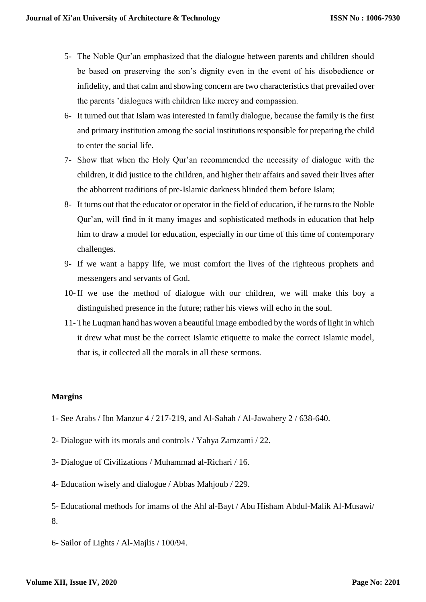- 5- The Noble Qur'an emphasized that the dialogue between parents and children should be based on preserving the son's dignity even in the event of his disobedience or infidelity, and that calm and showing concern are two characteristics that prevailed over the parents 'dialogues with children like mercy and compassion.
- 6- It turned out that Islam was interested in family dialogue, because the family is the first and primary institution among the social institutions responsible for preparing the child to enter the social life.
- 7- Show that when the Holy Qur'an recommended the necessity of dialogue with the children, it did justice to the children, and higher their affairs and saved their lives after the abhorrent traditions of pre-Islamic darkness blinded them before Islam;
- 8- It turns out that the educator or operator in the field of education, if he turns to the Noble Qur'an, will find in it many images and sophisticated methods in education that help him to draw a model for education, especially in our time of this time of contemporary challenges.
- 9- If we want a happy life, we must comfort the lives of the righteous prophets and messengers and servants of God.
- 10- If we use the method of dialogue with our children, we will make this boy a distinguished presence in the future; rather his views will echo in the soul.
- 11- The Luqman hand has woven a beautiful image embodied by the words of light in which it drew what must be the correct Islamic etiquette to make the correct Islamic model, that is, it collected all the morals in all these sermons.

# **Margins**

- 1- See Arabs / Ibn Manzur 4 / 217-219, and Al-Sahah / Al-Jawahery 2 / 638-640.
- 2- Dialogue with its morals and controls / Yahya Zamzami / 22.
- 3- Dialogue of Civilizations / Muhammad al-Richari / 16.
- 4- Education wisely and dialogue / Abbas Mahjoub / 229.
- 5- Educational methods for imams of the Ahl al-Bayt / Abu Hisham Abdul-Malik Al-Musawi/ 8.
- 6- Sailor of Lights / Al-Majlis / 100/94.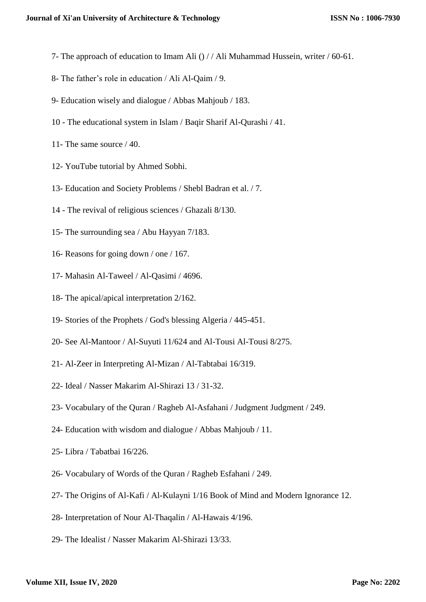- 7- The approach of education to Imam Ali () / / Ali Muhammad Hussein, writer / 60-61.
- 8- The father's role in education / Ali Al-Qaim / 9.
- 9- Education wisely and dialogue / Abbas Mahjoub / 183.
- 10 The educational system in Islam / Baqir Sharif Al-Qurashi / 41.
- 11- The same source / 40.
- 12- YouTube tutorial by Ahmed Sobhi.
- 13- Education and Society Problems / Shebl Badran et al. / 7.
- 14 The revival of religious sciences / Ghazali 8/130.
- 15- The surrounding sea / Abu Hayyan 7/183.
- 16- Reasons for going down / one / 167.
- 17- Mahasin Al-Taweel / Al-Qasimi / 4696.
- 18- The apical/apical interpretation 2/162.
- 19- Stories of the Prophets / God's blessing Algeria / 445-451.
- 20- See Al-Mantoor / Al-Suyuti 11/624 and Al-Tousi Al-Tousi 8/275.
- 21- Al-Zeer in Interpreting Al-Mizan / Al-Tabtabai 16/319.
- 22- Ideal / Nasser Makarim Al-Shirazi 13 / 31-32.
- 23- Vocabulary of the Quran / Ragheb Al-Asfahani / Judgment Judgment / 249.
- 24- Education with wisdom and dialogue / Abbas Mahjoub / 11.
- 25- Libra / Tabatbai 16/226.
- 26- Vocabulary of Words of the Quran / Ragheb Esfahani / 249.
- 27- The Origins of Al-Kafi / Al-Kulayni 1/16 Book of Mind and Modern Ignorance 12.
- 28- Interpretation of Nour Al-Thaqalin / Al-Hawais 4/196.
- 29- The Idealist / Nasser Makarim Al-Shirazi 13/33.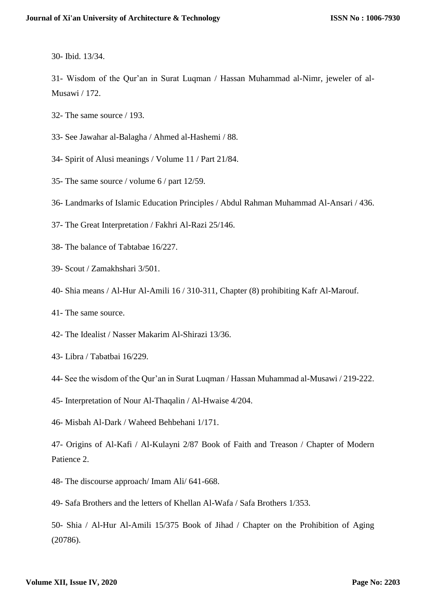30- Ibid. 13/34.

31- Wisdom of the Qur'an in Surat Luqman / Hassan Muhammad al-Nimr, jeweler of al-Musawi / 172.

- 32- The same source / 193.
- 33- See Jawahar al-Balagha / Ahmed al-Hashemi / 88.
- 34- Spirit of Alusi meanings / Volume 11 / Part 21/84.
- 35- The same source / volume 6 / part 12/59.
- 36- Landmarks of Islamic Education Principles / Abdul Rahman Muhammad Al-Ansari / 436.
- 37- The Great Interpretation / Fakhri Al-Razi 25/146.
- 38- The balance of Tabtabae 16/227.
- 39- Scout / Zamakhshari 3/501.
- 40- Shia means / Al-Hur Al-Amili 16 / 310-311, Chapter (8) prohibiting Kafr Al-Marouf.
- 41- The same source.
- 42- The Idealist / Nasser Makarim Al-Shirazi 13/36.
- 43- Libra / Tabatbai 16/229.
- 44- See the wisdom of the Qur'an in Surat Luqman / Hassan Muhammad al-Musawi / 219-222.
- 45- Interpretation of Nour Al-Thaqalin / Al-Hwaise 4/204.
- 46- Misbah Al-Dark / Waheed Behbehani 1/171.
- 47- Origins of Al-Kafi / Al-Kulayni 2/87 Book of Faith and Treason / Chapter of Modern Patience 2.
- 48- The discourse approach/ Imam Ali/ 641-668.
- 49- Safa Brothers and the letters of Khellan Al-Wafa / Safa Brothers 1/353.

50- Shia / Al-Hur Al-Amili 15/375 Book of Jihad / Chapter on the Prohibition of Aging (20786).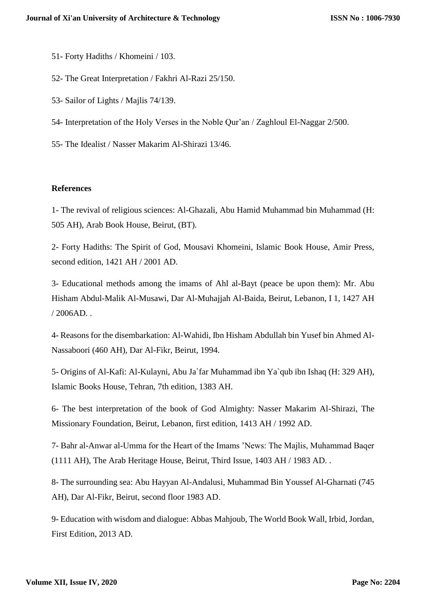51- Forty Hadiths / Khomeini / 103.

52- The Great Interpretation / Fakhri Al-Razi 25/150.

53- Sailor of Lights / Majlis 74/139.

54- Interpretation of the Holy Verses in the Noble Qur'an / Zaghloul El-Naggar 2/500.

55- The Idealist / Nasser Makarim Al-Shirazi 13/46.

#### **References**

1- The revival of religious sciences: Al-Ghazali, Abu Hamid Muhammad bin Muhammad (H: 505 AH), Arab Book House, Beirut, (BT).

2- Forty Hadiths: The Spirit of God, Mousavi Khomeini, Islamic Book House, Amir Press, second edition, 1421 AH / 2001 AD.

3- Educational methods among the imams of Ahl al-Bayt (peace be upon them): Mr. Abu Hisham Abdul-Malik Al-Musawi, Dar Al-Muhajjah Al-Baida, Beirut, Lebanon, I 1, 1427 AH / 2006AD. .

4- Reasons for the disembarkation: Al-Wahidi, Ibn Hisham Abdullah bin Yusef bin Ahmed Al-Nassaboori (460 AH), Dar Al-Fikr, Beirut, 1994.

5- Origins of Al-Kafi: Al-Kulayni, Abu Ja`far Muhammad ibn Ya`qub ibn Ishaq (H: 329 AH), Islamic Books House, Tehran, 7th edition, 1383 AH.

6- The best interpretation of the book of God Almighty: Nasser Makarim Al-Shirazi, The Missionary Foundation, Beirut, Lebanon, first edition, 1413 AH / 1992 AD.

7- Bahr al-Anwar al-Umma for the Heart of the Imams 'News: The Majlis, Muhammad Baqer (1111 AH), The Arab Heritage House, Beirut, Third Issue, 1403 AH / 1983 AD. .

8- The surrounding sea: Abu Hayyan Al-Andalusi, Muhammad Bin Youssef Al-Gharnati (745 AH), Dar Al-Fikr, Beirut, second floor 1983 AD.

9- Education with wisdom and dialogue: Abbas Mahjoub, The World Book Wall, Irbid, Jordan, First Edition, 2013 AD.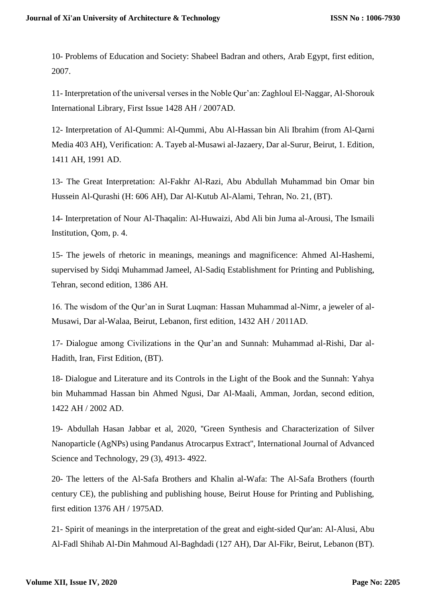10- Problems of Education and Society: Shabeel Badran and others, Arab Egypt, first edition, 2007.

11- Interpretation of the universal verses in the Noble Qur'an: Zaghloul El-Naggar, Al-Shorouk International Library, First Issue 1428 AH / 2007AD.

12- Interpretation of Al-Qummi: Al-Qummi, Abu Al-Hassan bin Ali Ibrahim (from Al-Qarni Media 403 AH), Verification: A. Tayeb al-Musawi al-Jazaery, Dar al-Surur, Beirut, 1. Edition, 1411 AH, 1991 AD.

13- The Great Interpretation: Al-Fakhr Al-Razi, Abu Abdullah Muhammad bin Omar bin Hussein Al-Qurashi (H: 606 AH), Dar Al-Kutub Al-Alami, Tehran, No. 21, (BT).

14- Interpretation of Nour Al-Thaqalin: Al-Huwaizi, Abd Ali bin Juma al-Arousi, The Ismaili Institution, Qom, p. 4.

15- The jewels of rhetoric in meanings, meanings and magnificence: Ahmed Al-Hashemi, supervised by Sidqi Muhammad Jameel, Al-Sadiq Establishment for Printing and Publishing, Tehran, second edition, 1386 AH.

16. The wisdom of the Qur'an in Surat Luqman: Hassan Muhammad al-Nimr, a jeweler of al-Musawi, Dar al-Walaa, Beirut, Lebanon, first edition, 1432 AH / 2011AD.

17- Dialogue among Civilizations in the Qur'an and Sunnah: Muhammad al-Rishi, Dar al-Hadith, Iran, First Edition, (BT).

18- Dialogue and Literature and its Controls in the Light of the Book and the Sunnah: Yahya bin Muhammad Hassan bin Ahmed Ngusi, Dar Al-Maali, Amman, Jordan, second edition, 1422 AH / 2002 AD.

19- Abdullah Hasan Jabbar et al, 2020, ''Green Synthesis and Characterization of Silver Nanoparticle (AgNPs) using Pandanus Atrocarpus Extract'', International Journal of Advanced Science and Technology, 29 (3), 4913- 4922.

20- The letters of the Al-Safa Brothers and Khalin al-Wafa: The Al-Safa Brothers (fourth century CE), the publishing and publishing house, Beirut House for Printing and Publishing, first edition 1376 AH / 1975AD.

21- Spirit of meanings in the interpretation of the great and eight-sided Qur'an: Al-Alusi, Abu Al-Fadl Shihab Al-Din Mahmoud Al-Baghdadi (127 AH), Dar Al-Fikr, Beirut, Lebanon (BT).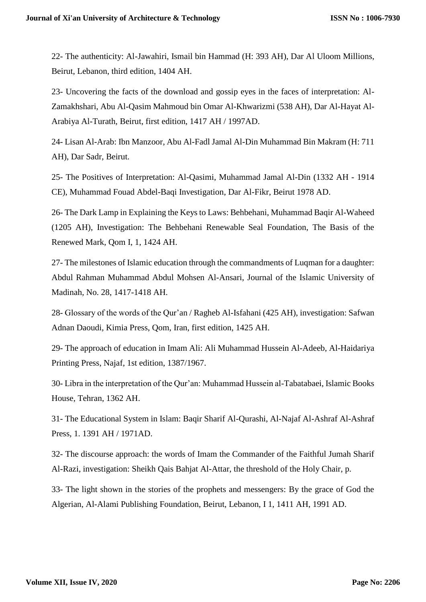22- The authenticity: Al-Jawahiri, Ismail bin Hammad (H: 393 AH), Dar Al Uloom Millions, Beirut, Lebanon, third edition, 1404 AH.

23- Uncovering the facts of the download and gossip eyes in the faces of interpretation: Al-Zamakhshari, Abu Al-Qasim Mahmoud bin Omar Al-Khwarizmi (538 AH), Dar Al-Hayat Al-Arabiya Al-Turath, Beirut, first edition, 1417 AH / 1997AD.

24- Lisan Al-Arab: Ibn Manzoor, Abu Al-Fadl Jamal Al-Din Muhammad Bin Makram (H: 711 AH), Dar Sadr, Beirut.

25- The Positives of Interpretation: Al-Qasimi, Muhammad Jamal Al-Din (1332 AH - 1914 CE), Muhammad Fouad Abdel-Baqi Investigation, Dar Al-Fikr, Beirut 1978 AD.

26- The Dark Lamp in Explaining the Keys to Laws: Behbehani, Muhammad Baqir Al-Waheed (1205 AH), Investigation: The Behbehani Renewable Seal Foundation, The Basis of the Renewed Mark, Qom I, 1, 1424 AH.

27- The milestones of Islamic education through the commandments of Luqman for a daughter: Abdul Rahman Muhammad Abdul Mohsen Al-Ansari, Journal of the Islamic University of Madinah, No. 28, 1417-1418 AH.

28- Glossary of the words of the Qur'an / Ragheb Al-Isfahani (425 AH), investigation: Safwan Adnan Daoudi, Kimia Press, Qom, Iran, first edition, 1425 AH.

29- The approach of education in Imam Ali: Ali Muhammad Hussein Al-Adeeb, Al-Haidariya Printing Press, Najaf, 1st edition, 1387/1967.

30- Libra in the interpretation of the Qur'an: Muhammad Hussein al-Tabatabaei, Islamic Books House, Tehran, 1362 AH.

31- The Educational System in Islam: Baqir Sharif Al-Qurashi, Al-Najaf Al-Ashraf Al-Ashraf Press, 1. 1391 AH / 1971AD.

32- The discourse approach: the words of Imam the Commander of the Faithful Jumah Sharif Al-Razi, investigation: Sheikh Qais Bahjat Al-Attar, the threshold of the Holy Chair, p.

33- The light shown in the stories of the prophets and messengers: By the grace of God the Algerian, Al-Alami Publishing Foundation, Beirut, Lebanon, I 1, 1411 AH, 1991 AD.